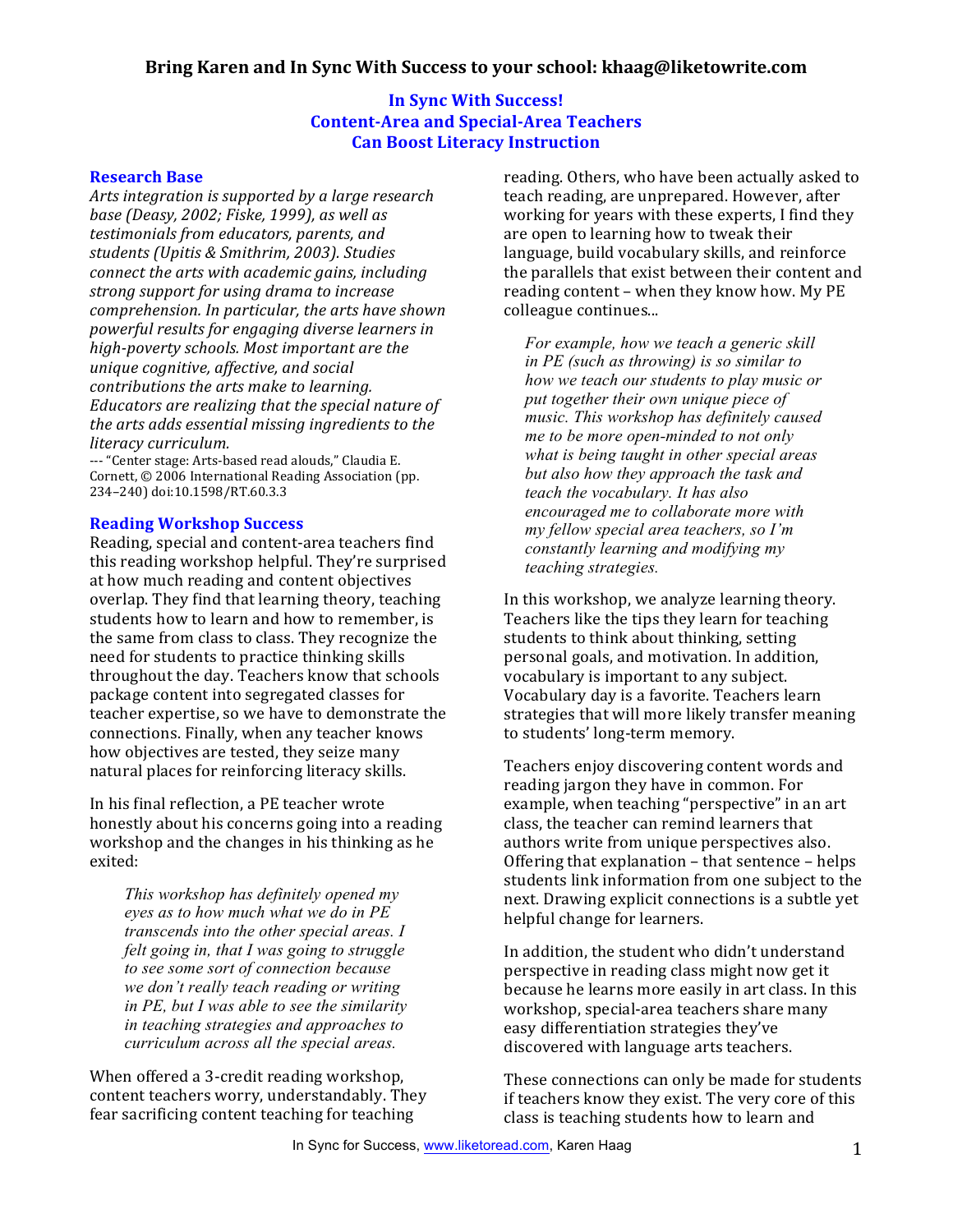## **In Sync With Success! Content-Area and Special-Area Teachers Can Boost Literacy Instruction**

### **Research Base**

Arts integration is supported by a large research *base (Deasy, 2002; Fiske, 1999), as well as testimonials from educators, parents, and*  students (Upitis & Smithrim, 2003). Studies *connect the arts with academic gains, including* strong support for using drama to increase *comprehension. In particular, the arts have shown powerful results for engaging diverse learners in*  high-poverty schools. Most important are the *unique cognitive, affective, and social contributions the arts make to learning.* Educators are realizing that the special nature of *the arts adds essential missing ingredients to the literacy curriculum.*

--- "Center stage: Arts-based read alouds," Claudia E. Cornett, © 2006 International Reading Association (pp. 234–240) doi:10.1598/RT.60.3.3

## **Reading Workshop Success**

Reading, special and content-area teachers find this reading workshop helpful. They're surprised at how much reading and content objectives overlap. They find that learning theory, teaching students how to learn and how to remember, is the same from class to class. They recognize the need for students to practice thinking skills throughout the day. Teachers know that schools package content into segregated classes for teacher expertise, so we have to demonstrate the connections. Finally, when any teacher knows how objectives are tested, they seize many natural places for reinforcing literacy skills.

In his final reflection, a PE teacher wrote honestly about his concerns going into a reading workshop and the changes in his thinking as he exited:

*This workshop has definitely opened my eyes as to how much what we do in PE transcends into the other special areas. I felt going in, that I was going to struggle to see some sort of connection because we don't really teach reading or writing in PE, but I was able to see the similarity in teaching strategies and approaches to curriculum across all the special areas.* 

When offered a 3-credit reading workshop. content teachers worry, understandably. They fear sacrificing content teaching for teaching

reading. Others, who have been actually asked to teach reading, are unprepared. However, after working for years with these experts, I find they are open to learning how to tweak their language, build vocabulary skills, and reinforce the parallels that exist between their content and reading content  $-$  when they know how. My PE colleague continues...

*For example, how we teach a generic skill in PE (such as throwing) is so similar to how we teach our students to play music or put together their own unique piece of music. This workshop has definitely caused me to be more open-minded to not only what is being taught in other special areas but also how they approach the task and teach the vocabulary. It has also encouraged me to collaborate more with my fellow special area teachers, so I'm constantly learning and modifying my teaching strategies.* 

In this workshop, we analyze learning theory. Teachers like the tips they learn for teaching students to think about thinking, setting personal goals, and motivation. In addition, vocabulary is important to any subject. Vocabulary day is a favorite. Teachers learn strategies that will more likely transfer meaning to students' long-term memory.

Teachers enjoy discovering content words and reading jargon they have in common. For example, when teaching "perspective" in an art class, the teacher can remind learners that authors write from unique perspectives also. Offering that explanation  $-$  that sentence  $-$  helps students link information from one subject to the next. Drawing explicit connections is a subtle yet helpful change for learners.

In addition, the student who didn't understand perspective in reading class might now get it because he learns more easily in art class. In this workshop, special-area teachers share many easy differentiation strategies they've discovered with language arts teachers.

These connections can only be made for students if teachers know they exist. The very core of this class is teaching students how to learn and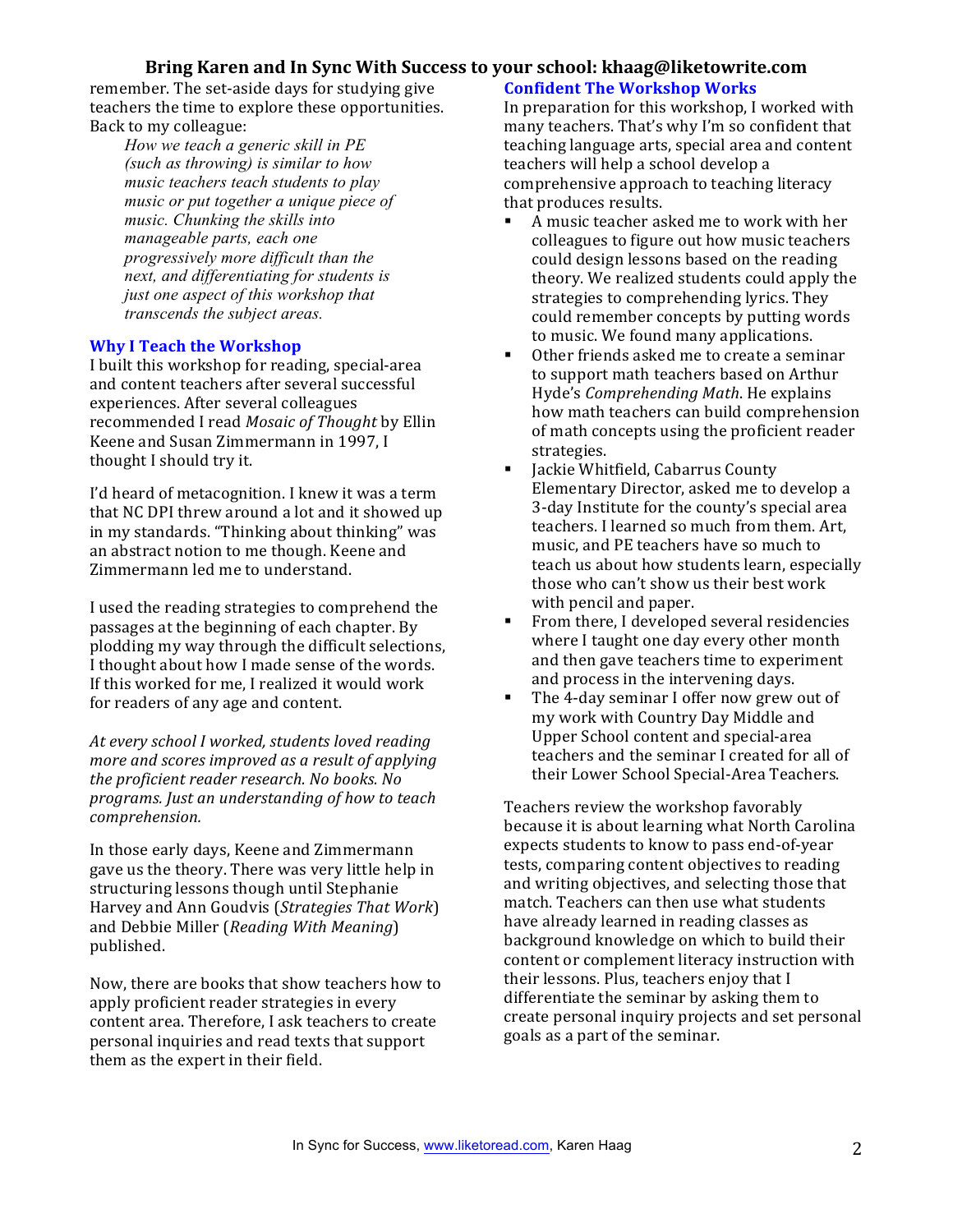# **Bring Karen and In Sync With Success to your school: khaag@liketowrite.com**

remember. The set-aside days for studying give teachers the time to explore these opportunities. Back to my colleague:

*How we teach a generic skill in PE (such as throwing) is similar to how music teachers teach students to play music or put together a unique piece of music. Chunking the skills into manageable parts, each one progressively more difficult than the next, and differentiating for students is just one aspect of this workshop that transcends the subject areas.*

#### **Why I Teach the Workshop**

I built this workshop for reading, special-area and content teachers after several successful experiences. After several colleagues recommended I read *Mosaic of Thought* by Ellin Keene and Susan Zimmermann in 1997, I thought I should try it.

I'd heard of metacognition. I knew it was a term that NC DPI threw around a lot and it showed up in my standards. "Thinking about thinking" was an abstract notion to me though. Keene and Zimmermann led me to understand.

I used the reading strategies to comprehend the passages at the beginning of each chapter. By plodding my way through the difficult selections, I thought about how I made sense of the words. If this worked for me, I realized it would work for readers of any age and content.

At every school I worked, students loved reading *more and scores improved as a result of applying* the proficient reader research. No books. No programs. Just an understanding of how to teach *comprehension.*

In those early days, Keene and Zimmermann gave us the theory. There was very little help in structuring lessons though until Stephanie Harvey and Ann Goudvis (*Strategies That Work*) and Debbie Miller (*Reading With Meaning*) published. 

Now, there are books that show teachers how to apply proficient reader strategies in every content area. Therefore, I ask teachers to create personal inquiries and read texts that support them as the expert in their field.

### **Confident The Workshop Works**

In preparation for this workshop, I worked with many teachers. That's why I'm so confident that teaching language arts, special area and content teachers will help a school develop a comprehensive approach to teaching literacy that produces results.

- A music teacher asked me to work with her colleagues to figure out how music teachers could design lessons based on the reading theory. We realized students could apply the strategies to comprehending lyrics. They could remember concepts by putting words to music. We found many applications.
- Other friends asked me to create a seminar to support math teachers based on Arthur Hyde's *Comprehending Math*. He explains how math teachers can build comprehension of math concepts using the proficient reader strategies.
- Jackie Whitfield, Cabarrus County Elementary Director, asked me to develop a 3-day Institute for the county's special area teachers. I learned so much from them. Art. music, and PE teachers have so much to teach us about how students learn, especially those who can't show us their best work with pencil and paper.
- From there, I developed several residencies where I taught one day every other month and then gave teachers time to experiment and process in the intervening days.
- The 4-day seminar I offer now grew out of my work with Country Day Middle and Upper School content and special-area teachers and the seminar I created for all of their Lower School Special-Area Teachers.

Teachers review the workshop favorably because it is about learning what North Carolina expects students to know to pass end-of-year tests, comparing content objectives to reading and writing objectives, and selecting those that match. Teachers can then use what students have already learned in reading classes as background knowledge on which to build their content or complement literacy instruction with their lessons. Plus, teachers enjoy that I differentiate the seminar by asking them to create personal inquiry projects and set personal goals as a part of the seminar.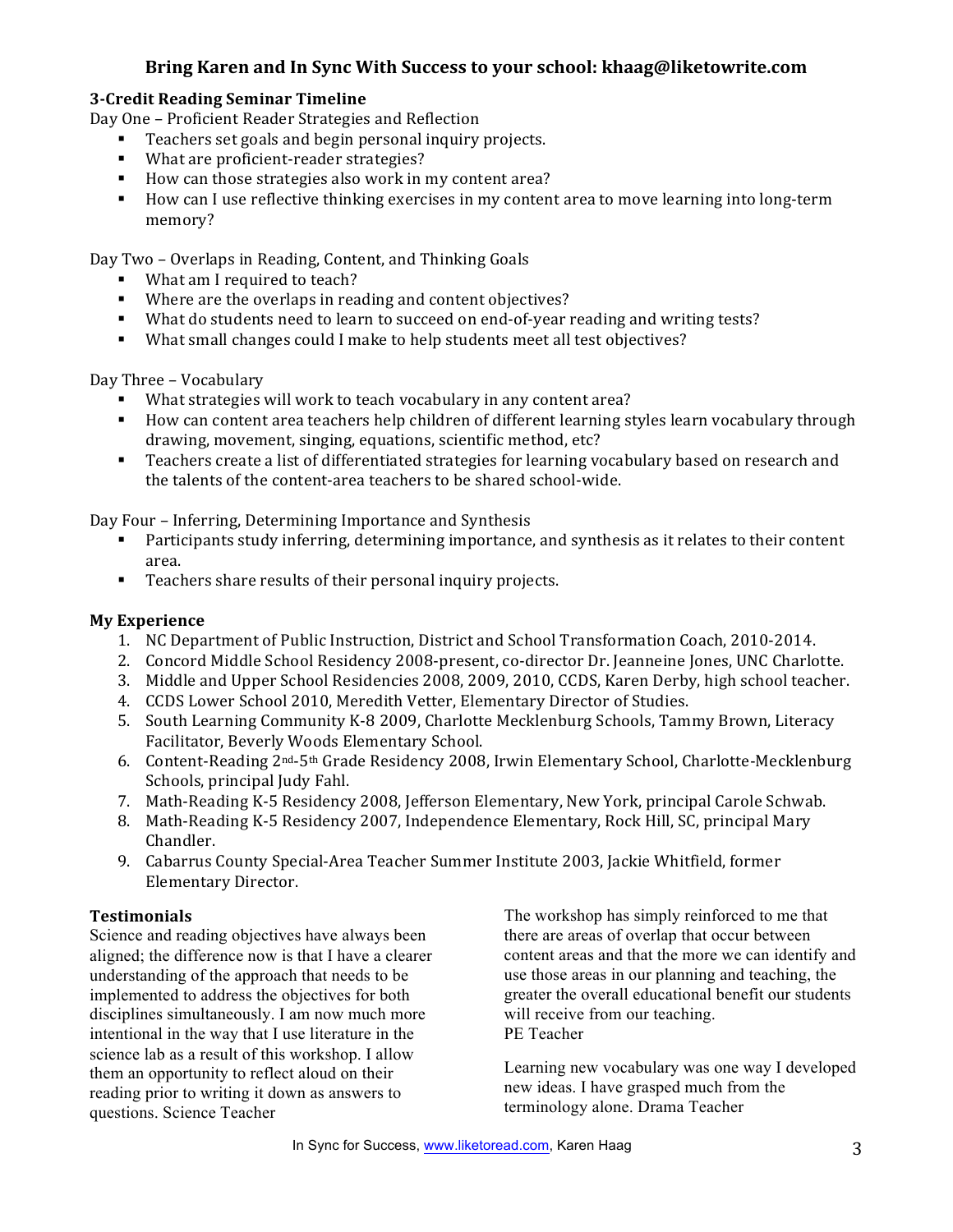# **Bring Karen and In Sync With Success to your school: khaag@liketowrite.com**

## **3-Credit Reading Seminar Timeline**

Day One - Proficient Reader Strategies and Reflection

- Teachers set goals and begin personal inquiry projects.
- What are proficient-reader strategies?
- How can those strategies also work in my content area?
- How can I use reflective thinking exercises in my content area to move learning into long-term memory?

Day Two – Overlaps in Reading, Content, and Thinking Goals

- What am I required to teach?
- Where are the overlaps in reading and content objectives?
- What do students need to learn to succeed on end-of-year reading and writing tests?
- What small changes could I make to help students meet all test objectives?

Day Three - Vocabulary

- What strategies will work to teach vocabulary in any content area?
- How can content area teachers help children of different learning styles learn vocabulary through drawing, movement, singing, equations, scientific method, etc?
- Teachers create a list of differentiated strategies for learning vocabulary based on research and the talents of the content-area teachers to be shared school-wide.

## Day Four – Inferring, Determining Importance and Synthesis

- Participants study inferring, determining importance, and synthesis as it relates to their content area.
- Teachers share results of their personal inquiry projects.

## **My Experience**

- 1. NC Department of Public Instruction, District and School Transformation Coach, 2010-2014.
- 2. Concord Middle School Residency 2008-present, co-director Dr. Jeanneine Jones, UNC Charlotte.
- 3. Middle and Upper School Residencies 2008, 2009, 2010, CCDS, Karen Derby, high school teacher.
- 4. CCDS Lower School 2010, Meredith Vetter, Elementary Director of Studies.
- 5. South Learning Community K-8 2009, Charlotte Mecklenburg Schools, Tammy Brown, Literacy Facilitator, Beverly Woods Elementary School.
- 6. Content-Reading 2<sup>nd</sup>-5<sup>th</sup> Grade Residency 2008, Irwin Elementary School, Charlotte-Mecklenburg Schools, principal Judy Fahl.
- 7. Math-Reading K-5 Residency 2008, Jefferson Elementary, New York, principal Carole Schwab.
- 8. Math-Reading K-5 Residency 2007, Independence Elementary, Rock Hill, SC, principal Mary Chandler.
- 9. Cabarrus County Special-Area Teacher Summer Institute 2003, Jackie Whitfield, former Elementary Director.

# **Testimonials**

Science and reading objectives have always been aligned; the difference now is that I have a clearer understanding of the approach that needs to be implemented to address the objectives for both disciplines simultaneously. I am now much more intentional in the way that I use literature in the science lab as a result of this workshop. I allow them an opportunity to reflect aloud on their reading prior to writing it down as answers to questions. Science Teacher

The workshop has simply reinforced to me that there are areas of overlap that occur between content areas and that the more we can identify and use those areas in our planning and teaching, the greater the overall educational benefit our students will receive from our teaching. PE Teacher

Learning new vocabulary was one way I developed new ideas. I have grasped much from the terminology alone. Drama Teacher